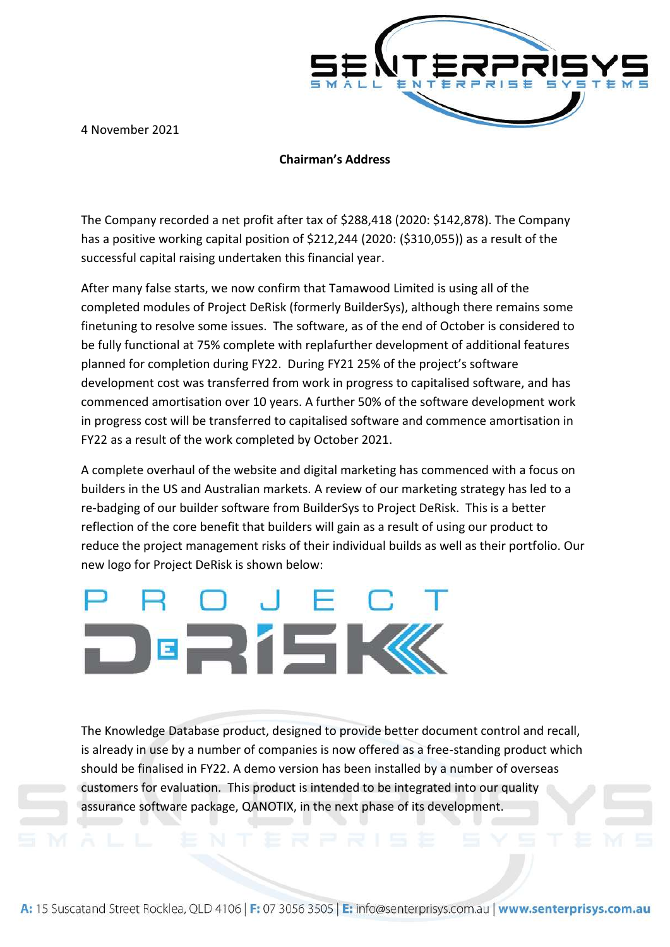4 November 2021



## **Chairman's Address**

The Company recorded a net profit after tax of \$288,418 (2020: \$142,878). The Company has a positive working capital position of \$212,244 (2020: (\$310,055)) as a result of the successful capital raising undertaken this financial year.

After many false starts, we now confirm that Tamawood Limited is using all of the completed modules of Project DeRisk (formerly BuilderSys), although there remains some finetuning to resolve some issues. The software, as of the end of October is considered to be fully functional at 75% complete with replafurther development of additional features planned for completion during FY22. During FY21 25% of the project's software development cost was transferred from work in progress to capitalised software, and has commenced amortisation over 10 years. A further 50% of the software development work in progress cost will be transferred to capitalised software and commence amortisation in FY22 as a result of the work completed by October 2021.

A complete overhaul of the website and digital marketing has commenced with a focus on builders in the US and Australian markets. A review of our marketing strategy has led to a re-badging of our builder software from BuilderSys to Project DeRisk. This is a better reflection of the core benefit that builders will gain as a result of using our product to reduce the project management risks of their individual builds as well as their portfolio. Our new logo for Project DeRisk is shown below:

## **E 2' 5 K**

The Knowledge Database product, designed to provide better document control and recall, is already in use by a number of companies is now offered as a free-standing product which should be finalised in FY22. A demo version has been installed by a number of overseas customers for evaluation. This product is intended to be integrated into our quality assurance software package, QANOTIX, in the next phase of its development.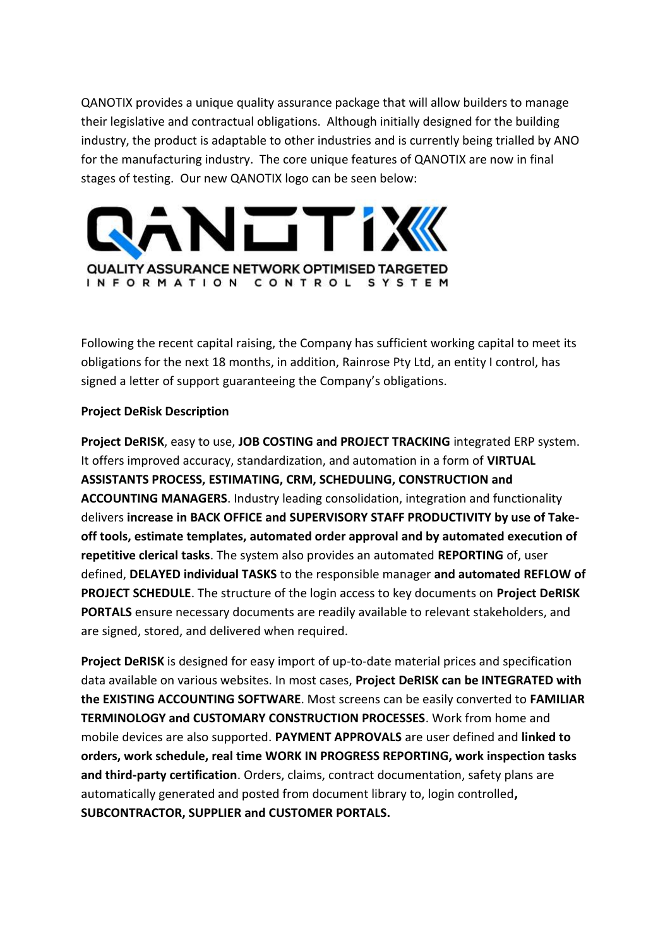QANOTIX provides a unique quality assurance package that will allow builders to manage their legislative and contractual obligations. Although initially designed for the building industry, the product is adaptable to other industries and is currently being trialled by ANO for the manufacturing industry. The core unique features of QANOTIX are now in final stages of testing. Our new QANOTIX logo can be seen below:



Following the recent capital raising, the Company has sufficient working capital to meet its obligations for the next 18 months, in addition, Rainrose Pty Ltd, an entity I control, has signed a letter of support guaranteeing the Company's obligations.

## **Project DeRisk Description**

**Project DeRISK**, easy to use, **JOB COSTING and PROJECT TRACKING** integrated ERP system. It offers improved accuracy, standardization, and automation in a form of **VIRTUAL ASSISTANTS PROCESS, ESTIMATING, CRM, SCHEDULING, CONSTRUCTION and ACCOUNTING MANAGERS**. Industry leading consolidation, integration and functionality delivers **increase in BACK OFFICE and SUPERVISORY STAFF PRODUCTIVITY by use of Takeoff tools, estimate templates, automated order approval and by automated execution of repetitive clerical tasks**. The system also provides an automated **REPORTING** of, user defined, **DELAYED individual TASKS** to the responsible manager **and automated REFLOW of PROJECT SCHEDULE**. The structure of the login access to key documents on **Project DeRISK PORTALS** ensure necessary documents are readily available to relevant stakeholders, and are signed, stored, and delivered when required.

**Project DeRISK** is designed for easy import of up-to-date material prices and specification data available on various websites. In most cases, **Project DeRISK can be INTEGRATED with the EXISTING ACCOUNTING SOFTWARE**. Most screens can be easily converted to **FAMILIAR TERMINOLOGY and CUSTOMARY CONSTRUCTION PROCESSES**. Work from home and mobile devices are also supported. **PAYMENT APPROVALS** are user defined and **linked to orders, work schedule, real time WORK IN PROGRESS REPORTING, work inspection tasks and third-party certification**. Orders, claims, contract documentation, safety plans are automatically generated and posted from document library to, login controlled**, SUBCONTRACTOR, SUPPLIER and CUSTOMER PORTALS.**